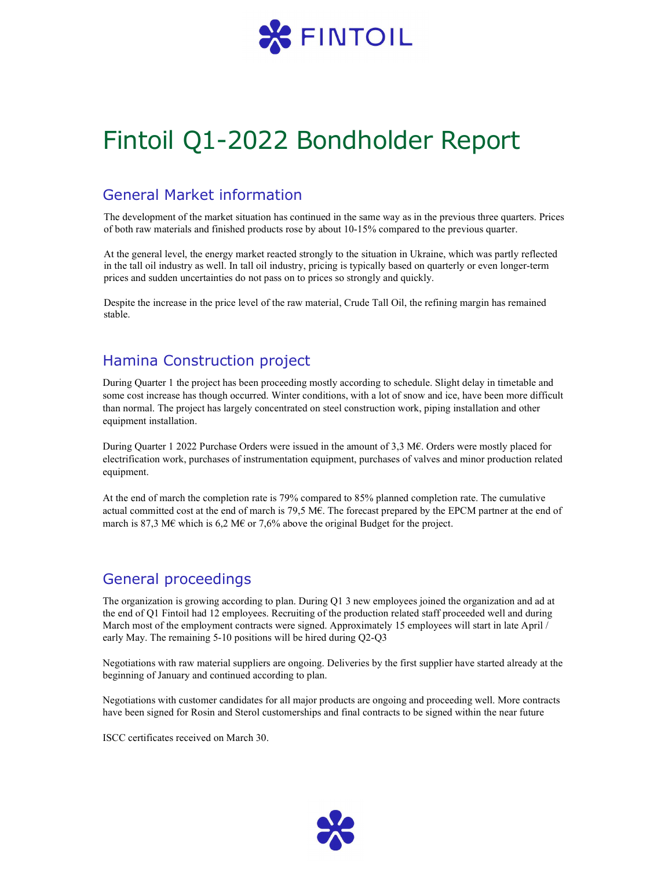

# Fintoil Q1-2022 Bondholder Report

### General Market information

The development of the market situation has continued in the same way as in the previous three quarters. Prices of both raw materials and finished products rose by about 10-15% compared to the previous quarter.

At the general level, the energy market reacted strongly to the situation in Ukraine, which was partly reflected in the tall oil industry as well. In tall oil industry, pricing is typically based on quarterly or even longer-term prices and sudden uncertainties do not pass on to prices so strongly and quickly.

Despite the increase in the price level of the raw material, Crude Tall Oil, the refining margin has remained stable.

## Hamina Construction project

During Quarter 1 the project has been proceeding mostly according to schedule. Slight delay in timetable and some cost increase has though occurred. Winter conditions, with a lot of snow and ice, have been more difficult than normal. The project has largely concentrated on steel construction work, piping installation and other equipment installation.

During Quarter 1 2022 Purchase Orders were issued in the amount of 3,3 M€. Orders were mostly placed for electrification work, purchases of instrumentation equipment, purchases of valves and minor production related equipment.

At the end of march the completion rate is 79% compared to 85% planned completion rate. The cumulative actual committed cost at the end of march is 79,5 M€. The forecast prepared by the EPCM partner at the end of march is 87,3 M€ which is 6,2 M€ or 7,6% above the original Budget for the project.

### General proceedings

The organization is growing according to plan. During Q1 3 new employees joined the organization and ad at the end of Q1 Fintoil had 12 employees. Recruiting of the production related staff proceeded well and during March most of the employment contracts were signed. Approximately 15 employees will start in late April / early May. The remaining 5-10 positions will be hired during Q2-Q3

Negotiations with raw material suppliers are ongoing. Deliveries by the first supplier have started already at the beginning of January and continued according to plan.

Negotiations with customer candidates for all major products are ongoing and proceeding well. More contracts have been signed for Rosin and Sterol customerships and final contracts to be signed within the near future

ISCC certificates received on March 30.